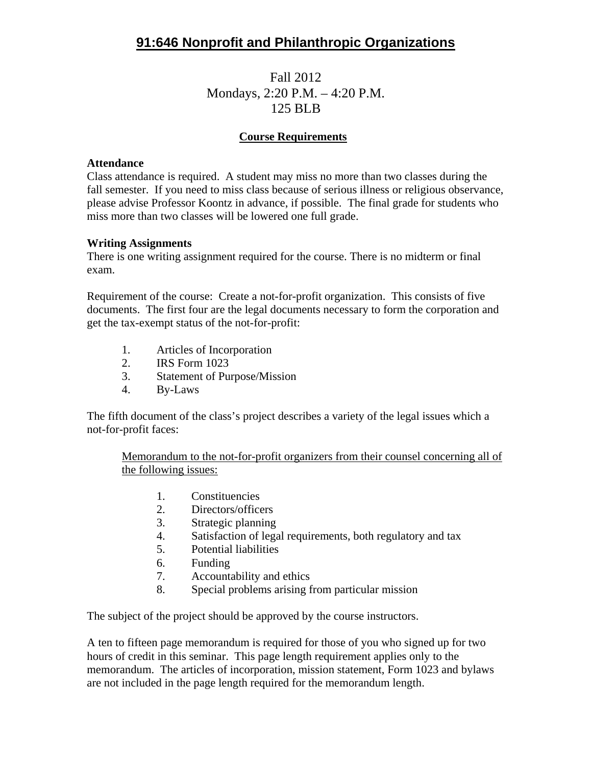# **91:646 Nonprofit and Philanthropic Organizations**

## Fall 2012 Mondays, 2:20 P.M. – 4:20 P.M. 125 BLB

## **Course Requirements**

#### **Attendance**

Class attendance is required. A student may miss no more than two classes during the fall semester. If you need to miss class because of serious illness or religious observance, please advise Professor Koontz in advance, if possible. The final grade for students who miss more than two classes will be lowered one full grade.

#### **Writing Assignments**

There is one writing assignment required for the course. There is no midterm or final exam.

Requirement of the course: Create a not-for-profit organization. This consists of five documents. The first four are the legal documents necessary to form the corporation and get the tax-exempt status of the not-for-profit:

- 1. Articles of Incorporation
- 2. IRS Form 1023
- 3. Statement of Purpose/Mission
- 4. By-Laws

The fifth document of the class's project describes a variety of the legal issues which a not-for-profit faces:

Memorandum to the not-for-profit organizers from their counsel concerning all of the following issues:

- 1. Constituencies
- 2. Directors/officers
- 3. Strategic planning
- 4. Satisfaction of legal requirements, both regulatory and tax
- 5. Potential liabilities
- 6. Funding
- 7. Accountability and ethics
- 8. Special problems arising from particular mission

The subject of the project should be approved by the course instructors.

A ten to fifteen page memorandum is required for those of you who signed up for two hours of credit in this seminar. This page length requirement applies only to the memorandum. The articles of incorporation, mission statement, Form 1023 and bylaws are not included in the page length required for the memorandum length.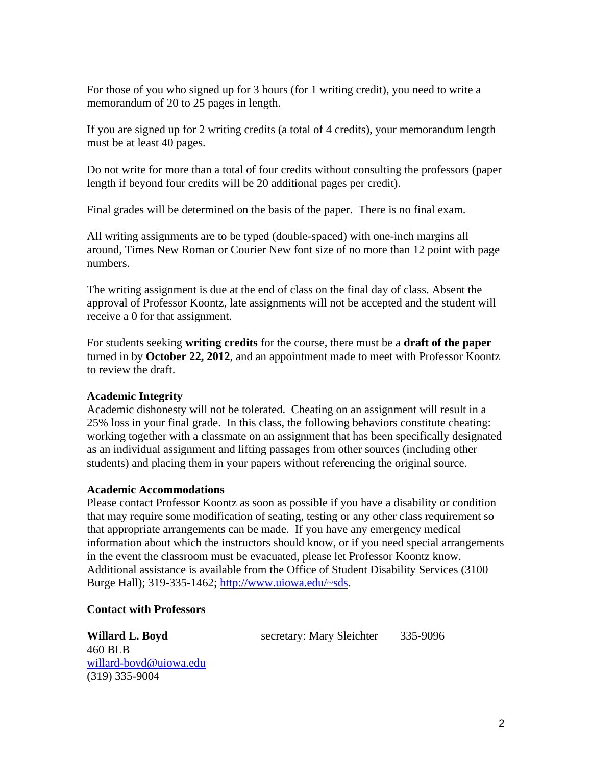For those of you who signed up for 3 hours (for 1 writing credit), you need to write a memorandum of 20 to 25 pages in length.

If you are signed up for 2 writing credits (a total of 4 credits), your memorandum length must be at least 40 pages.

Do not write for more than a total of four credits without consulting the professors (paper length if beyond four credits will be 20 additional pages per credit).

Final grades will be determined on the basis of the paper. There is no final exam.

All writing assignments are to be typed (double-spaced) with one-inch margins all around, Times New Roman or Courier New font size of no more than 12 point with page numbers.

The writing assignment is due at the end of class on the final day of class. Absent the approval of Professor Koontz, late assignments will not be accepted and the student will receive a 0 for that assignment.

For students seeking **writing credits** for the course, there must be a **draft of the paper** turned in by **October 22, 2012**, and an appointment made to meet with Professor Koontz to review the draft.

## **Academic Integrity**

Academic dishonesty will not be tolerated. Cheating on an assignment will result in a 25% loss in your final grade. In this class, the following behaviors constitute cheating: working together with a classmate on an assignment that has been specifically designated as an individual assignment and lifting passages from other sources (including other students) and placing them in your papers without referencing the original source.

### **Academic Accommodations**

Please contact Professor Koontz as soon as possible if you have a disability or condition that may require some modification of seating, testing or any other class requirement so that appropriate arrangements can be made. If you have any emergency medical information about which the instructors should know, or if you need special arrangements in the event the classroom must be evacuated, please let Professor Koontz know. Additional assistance is available from the Office of Student Disability Services (3100 Burge Hall); 319-335-1462; http://www.uiowa.edu/~sds.

### **Contact with Professors**

460 BLB willard-boyd@uiowa.edu (319) 335-9004

Willard L. Boyd secretary: Mary Sleichter 335-9096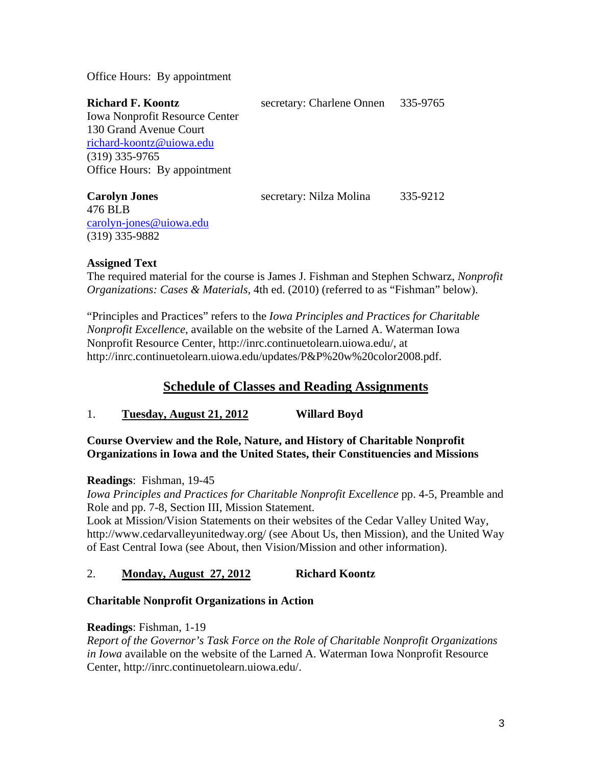Office Hours: By appointment

| <b>Richard F. Koontz</b>              | secretary: Charlene Onnen 335-9765 |          |
|---------------------------------------|------------------------------------|----------|
| <b>Iowa Nonprofit Resource Center</b> |                                    |          |
| 130 Grand Avenue Court                |                                    |          |
| richard-koontz@uiowa.edu              |                                    |          |
| $(319)$ 335-9765                      |                                    |          |
| Office Hours: By appointment          |                                    |          |
| <b>Carolyn Jones</b>                  | secretary: Nilza Molina            | 335-9212 |

476 BLB carolyn-jones@uiowa.edu (319) 335-9882

### **Assigned Text**

The required material for the course is James J. Fishman and Stephen Schwarz, *Nonprofit Organizations: Cases & Materials*, 4th ed. (2010) (referred to as "Fishman" below).

"Principles and Practices" refers to the *Iowa Principles and Practices for Charitable Nonprofit Excellence*, available on the website of the Larned A. Waterman Iowa Nonprofit Resource Center, http://inrc.continuetolearn.uiowa.edu/, at http://inrc.continuetolearn.uiowa.edu/updates/P&P%20w%20color2008.pdf.

## **Schedule of Classes and Reading Assignments**

1. **Tuesday, August 21, 2012 Willard Boyd**

## **Course Overview and the Role, Nature, and History of Charitable Nonprofit Organizations in Iowa and the United States, their Constituencies and Missions**

**Readings**: Fishman, 19-45

*Iowa Principles and Practices for Charitable Nonprofit Excellence* pp. 4-5, Preamble and Role and pp. 7-8, Section III, Mission Statement.

Look at Mission/Vision Statements on their websites of the Cedar Valley United Way, http://www.cedarvalleyunitedway.org/ (see About Us, then Mission), and the United Way of East Central Iowa (see About, then Vision/Mission and other information).

## 2. **Monday, August 27, 2012 Richard Koontz**

## **Charitable Nonprofit Organizations in Action**

### **Readings**: Fishman, 1-19

*Report of the Governor's Task Force on the Role of Charitable Nonprofit Organizations in Iowa* available on the website of the Larned A. Waterman Iowa Nonprofit Resource Center, http://inrc.continuetolearn.uiowa.edu/.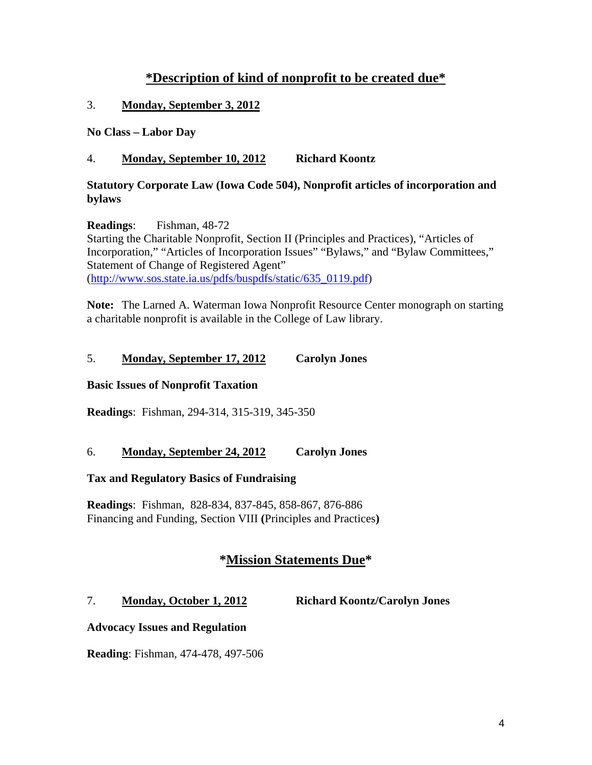## **\*Description of kind of nonprofit to be created due\***

### 3. **Monday, September 3, 2012**

**No Class – Labor Day**

### 4. **Monday, September 10, 2012 Richard Koontz**

### **Statutory Corporate Law (Iowa Code 504), Nonprofit articles of incorporation and bylaws**

**Readings**: Fishman, 48-72 Starting the Charitable Nonprofit, Section II (Principles and Practices), "Articles of Incorporation," "Articles of Incorporation Issues" "Bylaws," and "Bylaw Committees," Statement of Change of Registered Agent" (http://www.sos.state.ia.us/pdfs/buspdfs/static/635\_0119.pdf)

**Note:** The Larned A. Waterman Iowa Nonprofit Resource Center monograph on starting a charitable nonprofit is available in the College of Law library.

### 5. **Monday, September 17, 2012 Carolyn Jones**

### **Basic Issues of Nonprofit Taxation**

**Readings**: Fishman, 294-314, 315-319, 345-350

### 6. **Monday, September 24, 2012 Carolyn Jones**

### **Tax and Regulatory Basics of Fundraising**

**Readings**: Fishman, 828-834, 837-845, 858-867, 876-886 Financing and Funding, Section VIII **(**Principles and Practices**)**

## **\*Mission Statements Due\***

## 7. **Monday, October 1, 2012 Richard Koontz/Carolyn Jones**

### **Advocacy Issues and Regulation**

**Reading**: Fishman, 474-478, 497-506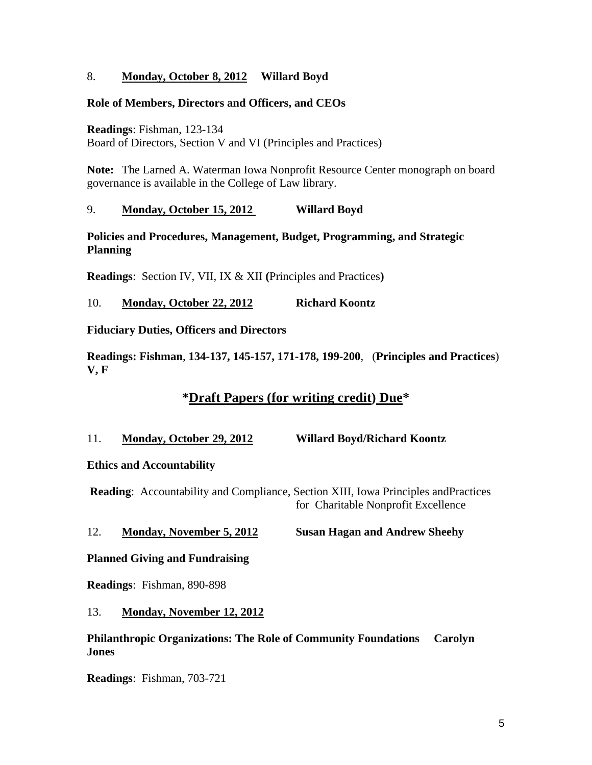### 8. **Monday, October 8, 2012 Willard Boyd**

### **Role of Members, Directors and Officers, and CEOs**

**Readings**: Fishman, 123-134

Board of Directors, Section V and VI (Principles and Practices)

**Note:** The Larned A. Waterman Iowa Nonprofit Resource Center monograph on board governance is available in the College of Law library.

### 9. **Monday, October 15, 2012 Willard Boyd**

### **Policies and Procedures, Management, Budget, Programming, and Strategic Planning**

**Readings**: Section IV, VII, IX & XII **(**Principles and Practices**)** 

### 10. **Monday, October 22, 2012 Richard Koontz**

**Fiduciary Duties, Officers and Directors**

**Readings: Fishman**, **134-137, 145-157, 171-178, 199-200**, (**Principles and Practices**) **V, F**

## **\*Draft Papers (for writing credit) Due\***

11. **Monday, October 29, 2012 Willard Boyd/Richard Koontz**

### **Ethics and Accountability**

 **Reading**: Accountability and Compliance, Section XIII, Iowa Principles andPractices for Charitable Nonprofit Excellence

### 12. **Monday, November 5, 2012 Susan Hagan and Andrew Sheehy**

### **Planned Giving and Fundraising**

**Readings**: Fishman, 890-898

### 13. **Monday, November 12, 2012**

### **Philanthropic Organizations: The Role of Community Foundations Carolyn Jones**

**Readings**: Fishman, 703-721